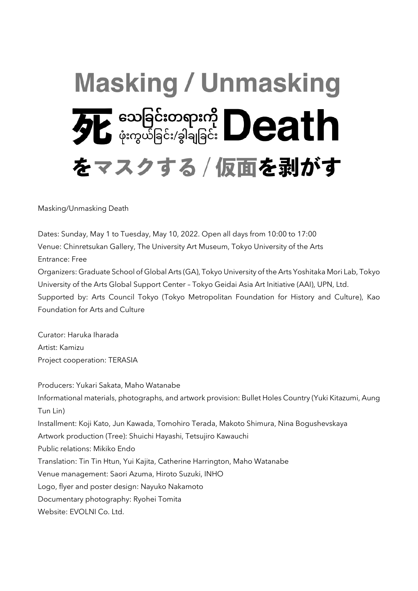# **Masking / Unmasking FL** Superstrand Death をマスクする / 仮面を剥がす

Masking/Unmasking Death

Dates: Sunday, May 1 to Tuesday, May 10, 2022. Open all days from 10:00 to 17:00 Venue: Chinretsukan Gallery, The University Art Museum, Tokyo University of the Arts Entrance: Free Organizers: Graduate School of Global Arts (GA), Tokyo University of the Arts Yoshitaka Mori Lab, Tokyo University of the Arts Global Support Center – Tokyo Geidai Asia Art Initiative (AAI), UPN, Ltd. Supported by: Arts Council Tokyo (Tokyo Metropolitan Foundation for History and Culture), Kao Foundation for Arts and Culture

Curator: Haruka Iharada Artist: Kamizu Project cooperation: TERASIA

Producers: Yukari Sakata, Maho Watanabe Informational materials, photographs, and artwork provision: Bullet Holes Country (Yuki Kitazumi, Aung Tun Lin) Installment: Koji Kato, Jun Kawada, Tomohiro Terada, Makoto Shimura, Nina Bogushevskaya Artwork production (Tree): Shuichi Hayashi, Tetsujiro Kawauchi Public relations: Mikiko Endo Translation: Tin Tin Htun, Yui Kajita, Catherine Harrington, Maho Watanabe Venue management: Saori Azuma, Hiroto Suzuki, INHO Logo, flyer and poster design: Nayuko Nakamoto Documentary photography: Ryohei Tomita Website: FVOLNI Co. Ltd.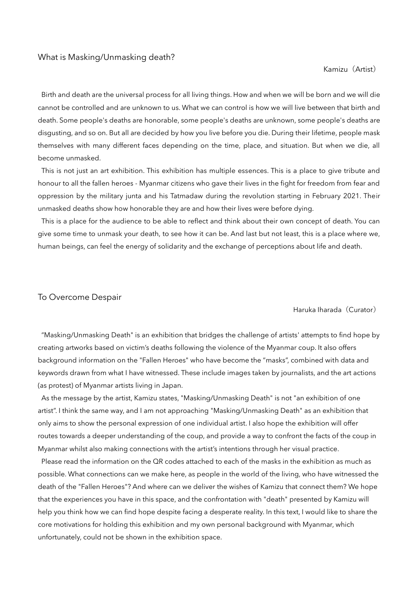#### What is Masking/Unmasking death?

#### Kamizu(Artist)

Birth and death are the universal process for all living things. How and when we will be born and we will die cannot be controlled and are unknown to us. What we can control is how we will live between that birth and death. Some people's deaths are honorable, some people's deaths are unknown, some people's deaths are disgusting, and so on. But all are decided by how you live before you die. During their lifetime, people mask themselves with many different faces depending on the time, place, and situation. But when we die, all become unmasked.

This is not just an art exhibition. This exhibition has multiple essences. This is a place to give tribute and honour to all the fallen heroes - Myanmar citizens who gave their lives in the fight for freedom from fear and oppression by the military junta and his Tatmadaw during the revolution starting in February 2021. Their unmasked deaths show how honorable they are and how their lives were before dying.

This is a place for the audience to be able to reflect and think about their own concept of death. You can give some time to unmask your death, to see how it can be. And last but not least, this is a place where we, human beings, can feel the energy of solidarity and the exchange of perceptions about life and death.

### To Overcome Despair

#### Haruka Iharada (Curator)

"Masking/Unmasking Death" is an exhibition that bridges the challenge of artists' attempts to find hope by creating artworks based on victim's deaths following the violence of the Myanmar coup. It also offers background information on the "Fallen Heroes" who have become the "masks", combined with data and keywords drawn from what I have witnessed. These include images taken by journalists, and the art actions (as protest) of Myanmar artists living in Japan.

As the message by the artist, Kamizu states, "Masking/Unmasking Death" is not "an exhibition of one artist". I think the same way, and I am not approaching "Masking/Unmasking Death" as an exhibition that only aims to show the personal expression of one individual artist. I also hope the exhibition will offer routes towards a deeper understanding of the coup, and provide a way to confront the facts of the coup in Myanmar whilst also making connections with the artist's intentions through her visual practice.

Please read the information on the QR codes attached to each of the masks in the exhibition as much as possible. What connections can we make here, as people in the world of the living, who have witnessed the death of the "Fallen Heroes"? And where can we deliver the wishes of Kamizu that connect them? We hope that the experiences you have in this space, and the confrontation with "death" presented by Kamizu will help you think how we can find hope despite facing a desperate reality. In this text, I would like to share the core motivations for holding this exhibition and my own personal background with Myanmar, which unfortunately, could not be shown in the exhibition space.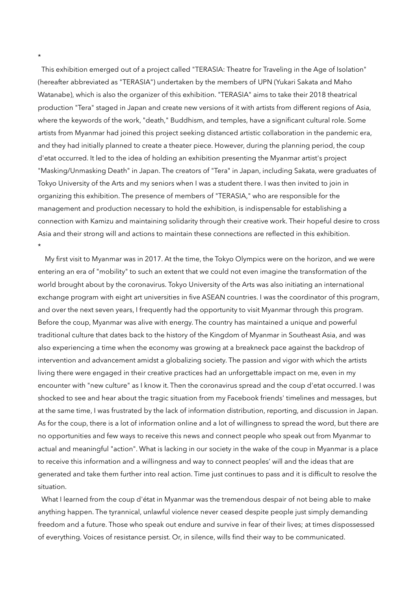This exhibition emerged out of a project called "TERASIA: Theatre for Traveling in the Age of Isolation" (hereafter abbreviated as "TERASIA") undertaken by the members of UPN (Yukari Sakata and Maho Watanabe), which is also the organizer of this exhibition. "TERASIA" aims to take their 2018 theatrical production "Tera" staged in Japan and create new versions of it with artists from different regions of Asia, where the keywords of the work, "death," Buddhism, and temples, have a significant cultural role. Some artists from Myanmar had joined this project seeking distanced artistic collaboration in the pandemic era, and they had initially planned to create a theater piece. However, during the planning period, the coup d'etat occurred. It led to the idea of holding an exhibition presenting the Myanmar artist's project "Masking/Unmasking Death" in Japan. The creators of "Tera" in Japan, including Sakata, were graduates of Tokyo University of the Arts and my seniors when I was a student there. I was then invited to join in organizing this exhibition. The presence of members of "TERASIA," who are responsible for the management and production necessary to hold the exhibition, is indispensable for establishing a connection with Kamizu and maintaining solidarity through their creative work. Their hopeful desire to cross Asia and their strong will and actions to maintain these connections are reflected in this exhibition. \*

My first visit to Myanmar was in 2017. At the time, the Tokyo Olympics were on the horizon, and we were entering an era of "mobility" to such an extent that we could not even imagine the transformation of the world brought about by the coronavirus. Tokyo University of the Arts was also initiating an international exchange program with eight art universities in five ASEAN countries. I was the coordinator of this program, and over the next seven years, I frequently had the opportunity to visit Myanmar through this program. Before the coup, Myanmar was alive with energy. The country has maintained a unique and powerful traditional culture that dates back to the history of the Kingdom of Myanmar in Southeast Asia, and was also experiencing a time when the economy was growing at a breakneck pace against the backdrop of intervention and advancement amidst a globalizing society. The passion and vigor with which the artists living there were engaged in their creative practices had an unforgettable impact on me, even in my encounter with "new culture" as I know it. Then the coronavirus spread and the coup d'etat occurred. I was shocked to see and hear about the tragic situation from my Facebook friends' timelines and messages, but at the same time, I was frustrated by the lack of information distribution, reporting, and discussion in Japan. As for the coup, there is a lot of information online and a lot of willingness to spread the word, but there are no opportunities and few ways to receive this news and connect people who speak out from Myanmar to actual and meaningful "action". What is lacking in our society in the wake of the coup in Myanmar is a place to receive this information and a willingness and way to connect peoples' will and the ideas that are generated and take them further into real action. Time just continues to pass and it is difficult to resolve the situation.

What I learned from the coup d'état in Myanmar was the tremendous despair of not being able to make anything happen. The tyrannical, unlawful violence never ceased despite people just simply demanding freedom and a future. Those who speak out endure and survive in fear of their lives; at times dispossessed of everything. Voices of resistance persist. Or, in silence, wills find their way to be communicated.

\*